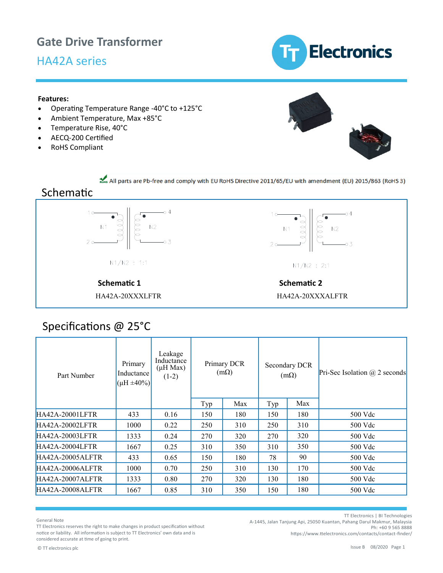## **Gate Drive Transformer**

## HA42A series



#### **Features:**

- Operating Temperature Range -40°C to +125°C
- Ambient Temperature, Max +85°C
- Temperature Rise, 40°C
- AECQ-200 Certified
- RoHS Compliant



All parts are Pb-free and comply with EU RoHS Directive 2011/65/EU with amendment (EU) 2015/863 (RoHS 3)

#### Schematic





#### **Schematic 1** Schematic 2 HA42A-20XXXLFTR HA42A-20XXXALFTR

| Part Number            | Leakage<br>Inductance<br>Primary<br>$(\mu H$ Max)<br>Inductance<br>$(1-2)$<br>$(\mu H \pm 40\%)$ |      | Primary DCR<br>$(m\Omega)$ |     | Secondary DCR<br>$(m\Omega)$ |     | Pri-Sec Isolation $\omega$ 2 seconds |
|------------------------|--------------------------------------------------------------------------------------------------|------|----------------------------|-----|------------------------------|-----|--------------------------------------|
|                        |                                                                                                  |      | Typ                        | Max | Typ                          | Max |                                      |
| HA42A-20001LFTR        | 433                                                                                              | 0.16 | 150                        | 180 | 150                          | 180 | 500 Vdc                              |
| <b>HA42A-20002LFTR</b> | 1000                                                                                             | 0.22 | 250                        | 310 | 250                          | 310 | 500 Vdc                              |
| HA42A-20003LFTR        | 1333                                                                                             | 0.24 | 270                        | 320 | 270                          | 320 | 500 Vdc                              |
| <b>HA42A-20004LFTR</b> | 1667                                                                                             | 0.25 | 310                        | 350 | 310                          | 350 | 500 Vdc                              |
| HA42A-20005ALFTR       | 433                                                                                              | 0.65 | 150                        | 180 | 78                           | 90  | 500 Vdc                              |
| HA42A-20006ALFTR       | 1000                                                                                             | 0.70 | 250                        | 310 | 130                          | 170 | 500 Vdc                              |
| HA42A-20007ALFTR       | 1333                                                                                             | 0.80 | 270                        | 320 | 130                          | 180 | 500 Vdc                              |
| HA42A-20008ALFTR       | 1667                                                                                             | 0.85 | 310                        | 350 | 150                          | 180 | 500 Vdc                              |

## Specifications @ 25°C

General Note

TT Electronics | BI Technologies

A-1445, Jalan Tanjung Api, 25050 Kuantan, Pahang Darul Makmur, Malaysia Ph: +60 9 565 8888

TT Electronics reserves the right to make changes in product specification without notice or liability. All information is subject to TT Electronics' own data and is considered accurate at time of going to print.

[https://www.ttelectronics.com/contacts/contact](https://www.ttelectronics.com/contacts/contact-finder/)-finder/